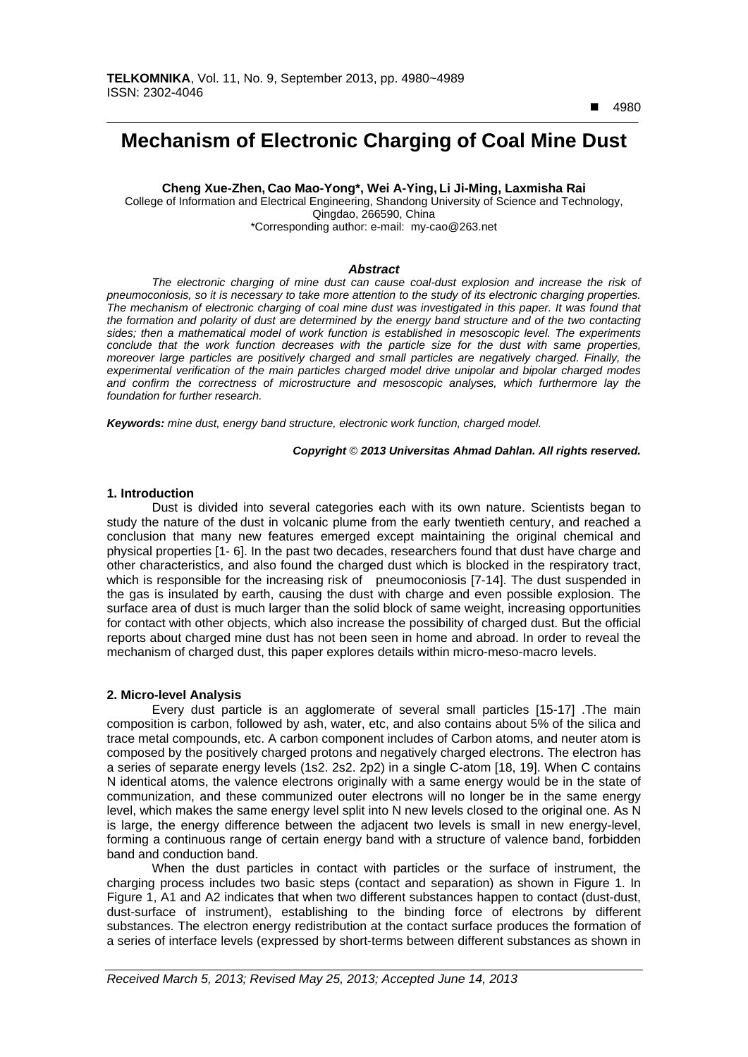$\overline{a}$ 

# **Mechanism of Electronic Charging of Coal Mine Dust**

# **Cheng Xue-Zhen, Cao Mao-Yong\*, Wei A-Ying, Li Ji-Ming, Laxmisha Rai**

College of Information and Electrical Engineering, Shandong University of Science and Technology, Qingdao, 266590, China \*Corresponding author: e-mail: my-cao@263.net

#### *Abstract*

*The electronic charging of mine dust can cause coal-dust explosion and increase the risk of pneumoconiosis, so it is necessary to take more attention to the study of its electronic charging properties. The mechanism of electronic charging of coal mine dust was investigated in this paper. It was found that the formation and polarity of dust are determined by the energy band structure and of the two contacting sides; then a mathematical model of work function is established in mesoscopic level. The experiments conclude that the work function decreases with the particle size for the dust with same properties, moreover large particles are positively charged and small particles are negatively charged. Finally, the experimental verification of the main particles charged model drive unipolar and bipolar charged modes and confirm the correctness of microstructure and mesoscopic analyses, which furthermore lay the foundation for further research.* 

*Keywords: mine dust, energy band structure, electronic work function, charged model.* 

#### *Copyright* © *2013 Universitas Ahmad Dahlan. All rights reserved.*

#### **1. Introduction**

Dust is divided into several categories each with its own nature. Scientists began to study the nature of the dust in volcanic plume from the early twentieth century, and reached a conclusion that many new features emerged except maintaining the original chemical and physical properties [1- 6]. In the past two decades, researchers found that dust have charge and other characteristics, and also found the charged dust which is blocked in the respiratory tract, which is responsible for the increasing risk of pneumoconiosis [7-14]. The dust suspended in the gas is insulated by earth, causing the dust with charge and even possible explosion. The surface area of dust is much larger than the solid block of same weight, increasing opportunities for contact with other objects, which also increase the possibility of charged dust. But the official reports about charged mine dust has not been seen in home and abroad. In order to reveal the mechanism of charged dust, this paper explores details within micro-meso-macro levels.

#### **2. Micro-level Analysis**

Every dust particle is an agglomerate of several small particles [15-17] .The main composition is carbon, followed by ash, water, etc, and also contains about 5% of the silica and trace metal compounds, etc. A carbon component includes of Carbon atoms, and neuter atom is composed by the positively charged protons and negatively charged electrons. The electron has a series of separate energy levels (1s2. 2s2. 2p2) in a single C-atom [18, 19]. When C contains N identical atoms, the valence electrons originally with a same energy would be in the state of communization, and these communized outer electrons will no longer be in the same energy level, which makes the same energy level split into N new levels closed to the original one. As N is large, the energy difference between the adjacent two levels is small in new energy-level, forming a continuous range of certain energy band with a structure of valence band, forbidden band and conduction band.

When the dust particles in contact with particles or the surface of instrument, the charging process includes two basic steps (contact and separation) as shown in Figure 1. In Figure 1, A1 and A2 indicates that when two different substances happen to contact (dust-dust, dust-surface of instrument), establishing to the binding force of electrons by different substances. The electron energy redistribution at the contact surface produces the formation of a series of interface levels (expressed by short-terms between different substances as shown in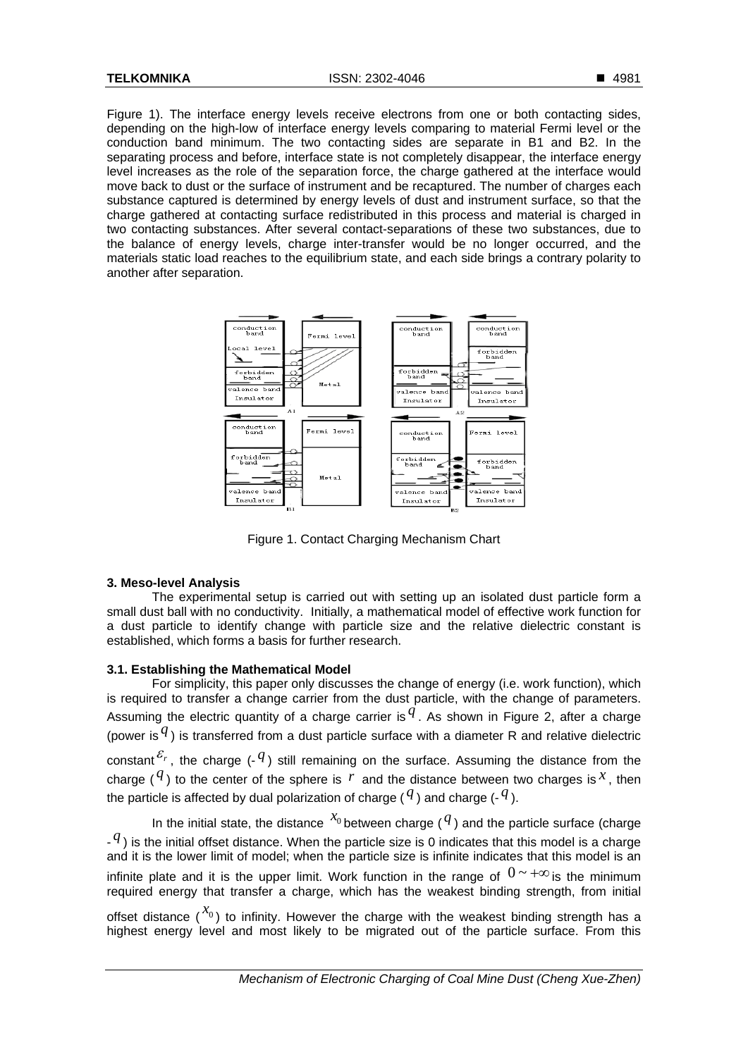Figure 1). The interface energy levels receive electrons from one or both contacting sides, depending on the high-low of interface energy levels comparing to material Fermi level or the conduction band minimum. The two contacting sides are separate in B1 and B2. In the separating process and before, interface state is not completely disappear, the interface energy level increases as the role of the separation force, the charge gathered at the interface would move back to dust or the surface of instrument and be recaptured. The number of charges each substance captured is determined by energy levels of dust and instrument surface, so that the charge gathered at contacting surface redistributed in this process and material is charged in two contacting substances. After several contact-separations of these two substances, due to the balance of energy levels, charge inter-transfer would be no longer occurred, and the materials static load reaches to the equilibrium state, and each side brings a contrary polarity to another after separation.



Figure 1. Contact Charging Mechanism Chart

# **3. Meso-level Analysis**

The experimental setup is carried out with setting up an isolated dust particle form a small dust ball with no conductivity. Initially, a mathematical model of effective work function for a dust particle to identify change with particle size and the relative dielectric constant is established, which forms a basis for further research.

# **3.1. Establishing the Mathematical Model**

For simplicity, this paper only discusses the change of energy (i.e. work function), which is required to transfer a change carrier from the dust particle, with the change of parameters. Assuming the electric quantity of a charge carrier is  $q$ . As shown in Figure 2, after a charge (power is  $q$ ) is transferred from a dust particle surface with a diameter R and relative dielectric constant  $\mathcal{E}_r$ , the charge ( $\cdot$  *q*) still remaining on the surface. Assuming the distance from the charge ( $^q$ ) to the center of the sphere is  $^r$  and the distance between two charges is  $^x$ , then the particle is affected by dual polarization of charge  $(q)$  and charge  $(-q)$ .

In the initial state, the distance  $x_0$  between charge ( $q$ ) and the particle surface (charge  $q$ ) is the initial offset distance. When the particle size is 0 indicates that this model is a charge and it is the lower limit of model; when the particle size is infinite indicates that this model is an infinite plate and it is the upper limit. Work function in the range of  $0 \sim +\infty$  is the minimum required energy that transfer a charge, which has the weakest binding strength, from initial

offset distance  $({}^{x_0})$  to infinity. However the charge with the weakest binding strength has a highest energy level and most likely to be migrated out of the particle surface. From this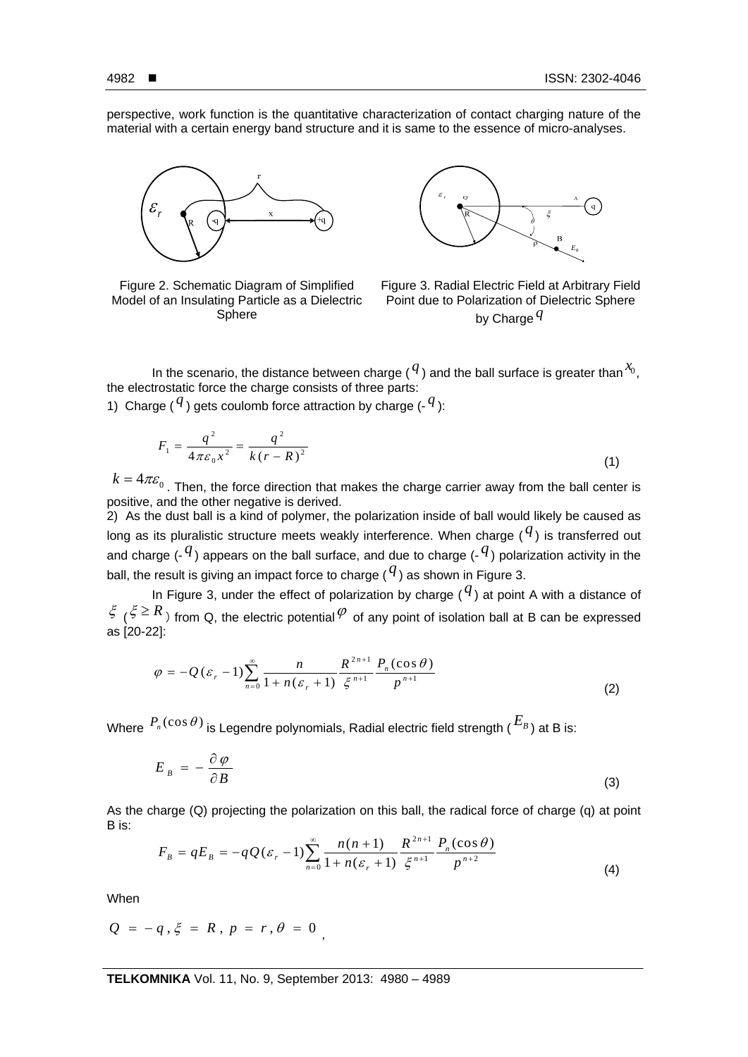perspective, work function is the quantitative characterization of contact charging nature of the material with a certain energy band structure and it is same to the essence of micro-analyses.



Figure 2. Schematic Diagram of Simplified Model of an Insulating Particle as a Dielectric Sphere



Figure 3. Radial Electric Field at Arbitrary Field Point due to Polarization of Dielectric Sphere by Charge *q*

In the scenario, the distance between charge ( $q$ ) and the ball surface is greater than  $x<sub>0</sub>$ , the electrostatic force the charge consists of three parts:

1) Charge ( $q$ ) gets coulomb force attraction by charge  $(-q)$ :

$$
F_1 = \frac{q^2}{4\pi\varepsilon_0 x^2} = \frac{q^2}{k(r - R)^2}
$$
\n(1)

 $k = 4\pi\varepsilon_0$ . Then, the force direction that makes the charge carrier away from the ball center is positive, and the other negative is derived.

2) As the dust ball is a kind of polymer, the polarization inside of ball would likely be caused as long as its pluralistic structure meets weakly interference. When charge ( $q$ ) is transferred out and charge ( $\cdot$  <sup>*q*</sup>) appears on the ball surface, and due to charge ( $\cdot$  <sup>*q*</sup>) polarization activity in the ball, the result is giving an impact force to charge  $(q)$  as shown in Figure 3.

In Figure 3, under the effect of polarization by charge  $(9)$  at point A with a distance of  $\zeta$  ( $\zeta \ge R$ ) from Q, the electric potential  $\varphi$  of any point of isolation ball at B can be expressed as [20-22]:

$$
\varphi = -Q(\varepsilon_r - 1) \sum_{n=0}^{\infty} \frac{n}{1 + n(\varepsilon_r + 1)} \frac{R^{2n+1}}{\xi^{n+1}} \frac{P_n(\cos \theta)}{p^{n+1}}
$$
(2)

Where  $P_n(\cos \theta)$  is Legendre polynomials, Radial electric field strength ( $E_B$ ) at B is:

$$
E_B = -\frac{\partial \varphi}{\partial B} \tag{3}
$$

As the charge (Q) projecting the polarization on this ball, the radical force of charge (q) at point B is:

$$
F_B = qE_B = -qQ(\varepsilon_r - 1)\sum_{n=0}^{\infty} \frac{n(n+1)}{1 + n(\varepsilon_r + 1)} \frac{R^{2n+1}}{\xi^{n+1}} \frac{P_n(\cos \theta)}{p^{n+2}}
$$
(4)

When

$$
Q = -q, \xi = R, p = r, \theta = 0
$$

**TELKOMNIKA** Vol. 11, No. 9, September 2013: 4980 – 4989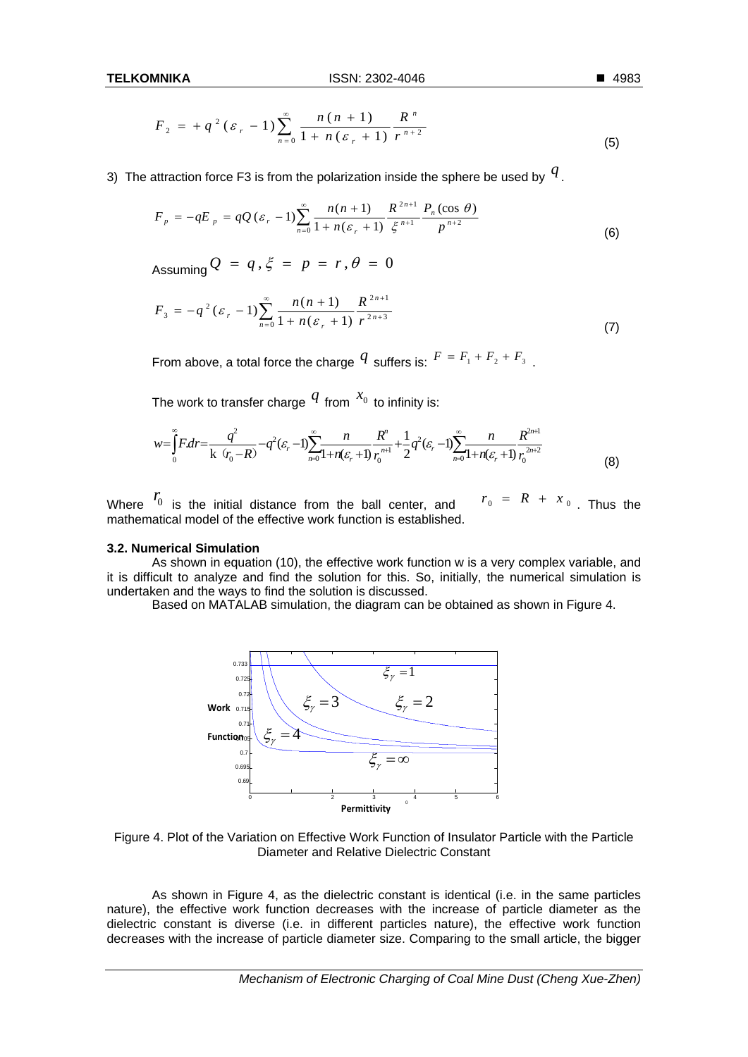$$
F_2 = + q^2 (\varepsilon_r - 1) \sum_{n=0}^{\infty} \frac{n(n+1)}{1 + n(\varepsilon_r + 1)} \frac{R^n}{r^{n+2}}
$$
\n(5)

3) The attraction force F3 is from the polarization inside the sphere be used by  $q$ .

$$
F_p = -qE_p = qQ(\varepsilon_r - 1)\sum_{n=0}^{\infty} \frac{n(n+1)}{1 + n(\varepsilon_r + 1)} \frac{R^{2n+1}}{\xi^{n+1}} \frac{P_n(\cos \theta)}{p^{n+2}}
$$
(6)

Assuming  $Q = q, \xi = p = r, \theta = 0$ 

$$
F_3 = -q^2 (\varepsilon_r - 1) \sum_{n=0}^{\infty} \frac{n(n+1)}{1 + n(\varepsilon_r + 1)} \frac{R^{2n+1}}{r^{2n+3}}
$$
 (7)

From above, a total force the charge  $q$  suffers is:  $F = F_1 + F_2 + F_3$ .

The work to transfer charge  $q$  from  $x_0$  to infinity is:

$$
w = \int_{0}^{\infty} F dr = \frac{q^2}{k (r_0 - R)} - q^2 (\varepsilon_r - 1) \sum_{n=0}^{\infty} \frac{n}{1 + n(\varepsilon_r + 1)} \frac{R^n}{r_0^{n+1}} + \frac{1}{2} q^2 (\varepsilon_r - 1) \sum_{n=0}^{\infty} \frac{n}{1 + n(\varepsilon_r + 1)} \frac{R^{2n+1}}{r_0^{2n+2}}
$$
(8)

Where  $\overline{r}_0$  is the initial distance from the ball center, and  $\overline{r}_0 = R + x_0$  . Thus the mathematical model of the effective work function is established.

### **3.2. Numerical Simulation**

As shown in equation (10), the effective work function w is a very complex variable, and it is difficult to analyze and find the solution for this. So, initially, the numerical simulation is undertaken and the ways to find the solution is discussed.

Based on MATALAB simulation, the diagram can be obtained as shown in Figure 4.



Figure 4. Plot of the Variation on Effective Work Function of Insulator Particle with the Particle Diameter and Relative Dielectric Constant

As shown in Figure 4, as the dielectric constant is identical (i.e. in the same particles nature), the effective work function decreases with the increase of particle diameter as the dielectric constant is diverse (i.e. in different particles nature), the effective work function decreases with the increase of particle diameter size. Comparing to the small article, the bigger

*Mechanism of Electronic Charging of Coal Mine Dust (Cheng Xue-Zhen)*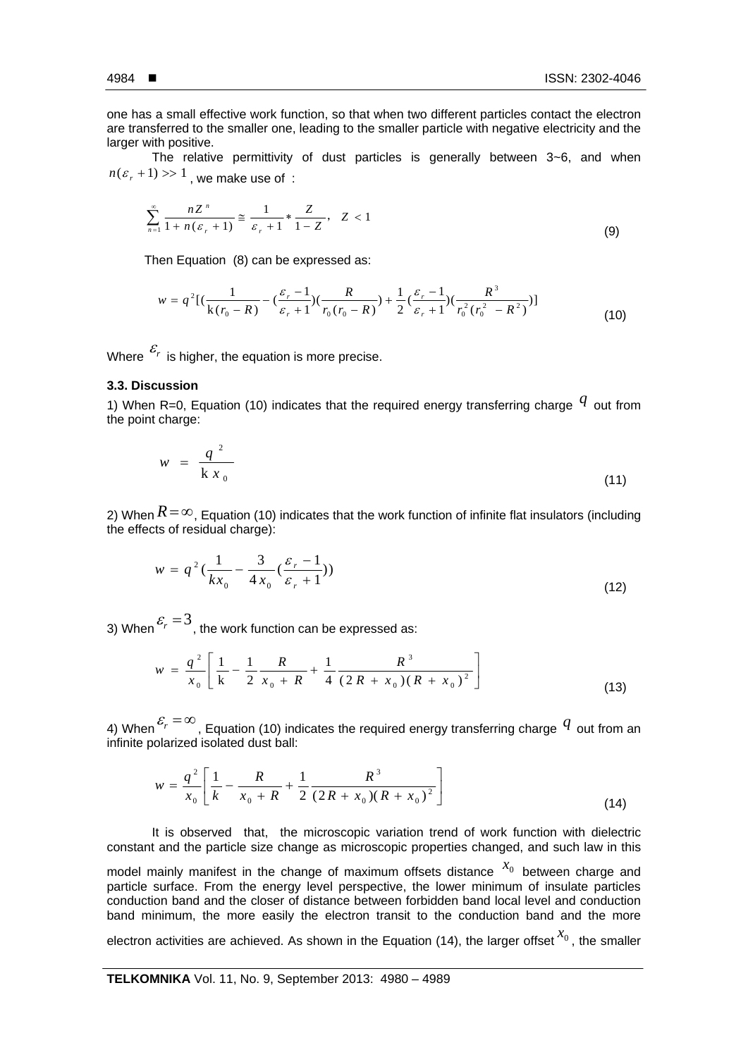one has a small effective work function, so that when two different particles contact the electron are transferred to the smaller one, leading to the smaller particle with negative electricity and the larger with positive.

The relative permittivity of dust particles is generally between 3~6, and when  $n(\varepsilon_r + 1) >> 1$ , we make use of :

$$
\sum_{n=1}^{\infty} \frac{nZ^n}{1 + n(\varepsilon_r + 1)} \cong \frac{1}{\varepsilon_r + 1} * \frac{Z}{1 - Z}, \quad Z < 1 \tag{9}
$$

Then Equation (8) can be expressed as:

$$
w = q^2 \left[ \left( \frac{1}{k(r_0 - R)} - \left( \frac{\varepsilon_r - 1}{\varepsilon_r + 1} \right) \left( \frac{R}{r_0(r_0 - R)} \right) + \frac{1}{2} \left( \frac{\varepsilon_r - 1}{\varepsilon_r + 1} \right) \left( \frac{R^3}{r_0^2(r_0^2 - R^2)} \right) \right]
$$
(10)

Where  $\mathcal{E}_r$  is higher, the equation is more precise.

## **3.3. Discussion**

1) When R=0, Equation (10) indicates that the required energy transferring charge  $q$  out from the point charge:

$$
w = \frac{q^2}{k x_0} \tag{11}
$$

2) When  $R = \infty$ , Equation (10) indicates that the work function of infinite flat insulators (including the effects of residual charge):

$$
w = q^{2} \left( \frac{1}{k x_{0}} - \frac{3}{4 x_{0}} \left( \frac{\varepsilon_{r} - 1}{\varepsilon_{r} + 1} \right) \right)
$$
(12)

3) When  $\varepsilon_r = 3$ , the work function can be expressed as:

$$
w = \frac{q^2}{x_0} \left[ \frac{1}{k} - \frac{1}{2} \frac{R}{x_0 + R} + \frac{1}{4} \frac{R^3}{(2R + x_0)(R + x_0)^2} \right]
$$
(13)

4) When  $\mathcal{E}_r = \infty$ , Equation (10) indicates the required energy transferring charge  $q$  out from an infinite polarized isolated dust ball:

$$
w = \frac{q^2}{x_0} \left[ \frac{1}{k} - \frac{R}{x_0 + R} + \frac{1}{2} \frac{R^3}{(2R + x_0)(R + x_0)^2} \right]
$$
(14)

It is observed that, the microscopic variation trend of work function with dielectric constant and the particle size change as microscopic properties changed, and such law in this

model mainly manifest in the change of maximum offsets distance  $\chi_0$  between charge and particle surface. From the energy level perspective, the lower minimum of insulate particles conduction band and the closer of distance between forbidden band local level and conduction band minimum, the more easily the electron transit to the conduction band and the more

electron activities are achieved. As shown in the Equation (14), the larger offset  $^{X_0}$ , the smaller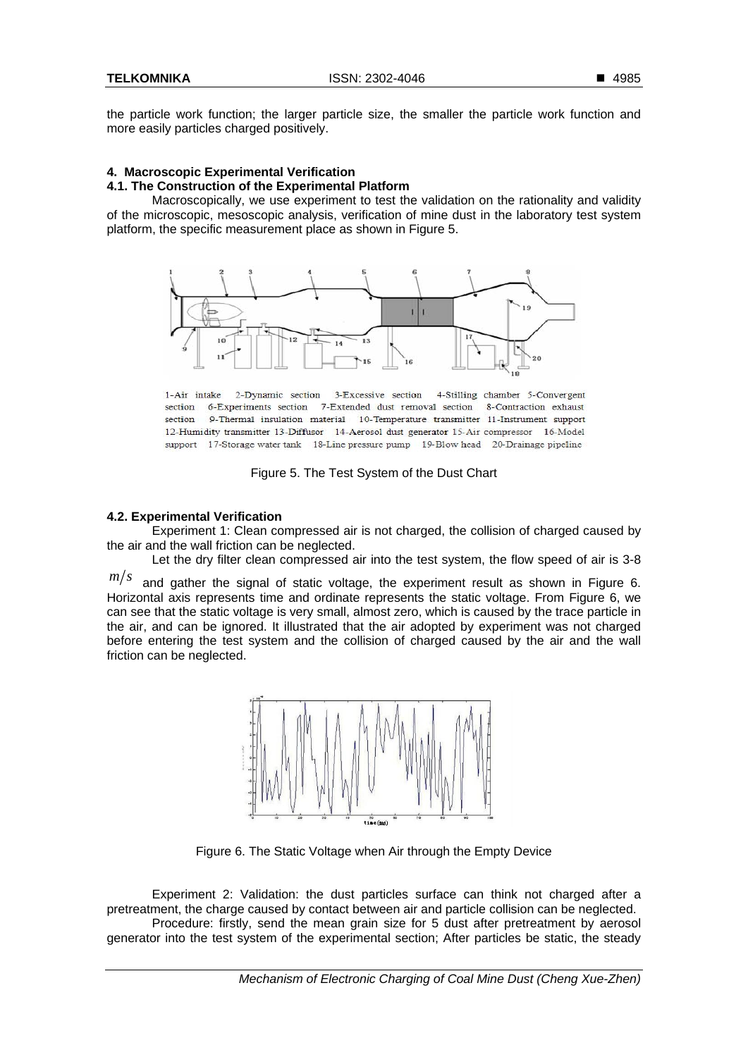the particle work function; the larger particle size, the smaller the particle work function and more easily particles charged positively.

# **4. Macroscopic Experimental Verification**

# **4.1. The Construction of the Experimental Platform**

Macroscopically, we use experiment to test the validation on the rationality and validity of the microscopic, mesoscopic analysis, verification of mine dust in the laboratory test system platform, the specific measurement place as shown in Figure 5.



1-Air intake 2-Dynamic section 3-Excessive section 4-Stilling chamber 5-Convergent section 6-Experiments section 7-Extended dust removal section 8-Contraction exhaust section 9-Thermal insulation material 10-Temperature transmitter 11-Instrument support 12-Humidity transmitter 13-Diffusor 14-Aerosol dust generator 15-Air compressor 16-Model support 17-Storage water tank 18-Line pressure pump 19-Blow head 20-Drainage pipeline

# Figure 5. The Test System of the Dust Chart

## **4.2. Experimental Verification**

Experiment 1: Clean compressed air is not charged, the collision of charged caused by the air and the wall friction can be neglected.

Let the dry filter clean compressed air into the test system, the flow speed of air is 3-8

 $m/s$  and gather the signal of static voltage, the experiment result as shown in Figure 6. Horizontal axis represents time and ordinate represents the static voltage. From Figure 6, we can see that the static voltage is very small, almost zero, which is caused by the trace particle in the air, and can be ignored. It illustrated that the air adopted by experiment was not charged before entering the test system and the collision of charged caused by the air and the wall friction can be neglected.



Figure 6. The Static Voltage when Air through the Empty Device

Experiment 2: Validation: the dust particles surface can think not charged after a pretreatment, the charge caused by contact between air and particle collision can be neglected. Procedure: firstly, send the mean grain size for 5 dust after pretreatment by aerosol

generator into the test system of the experimental section; After particles be static, the steady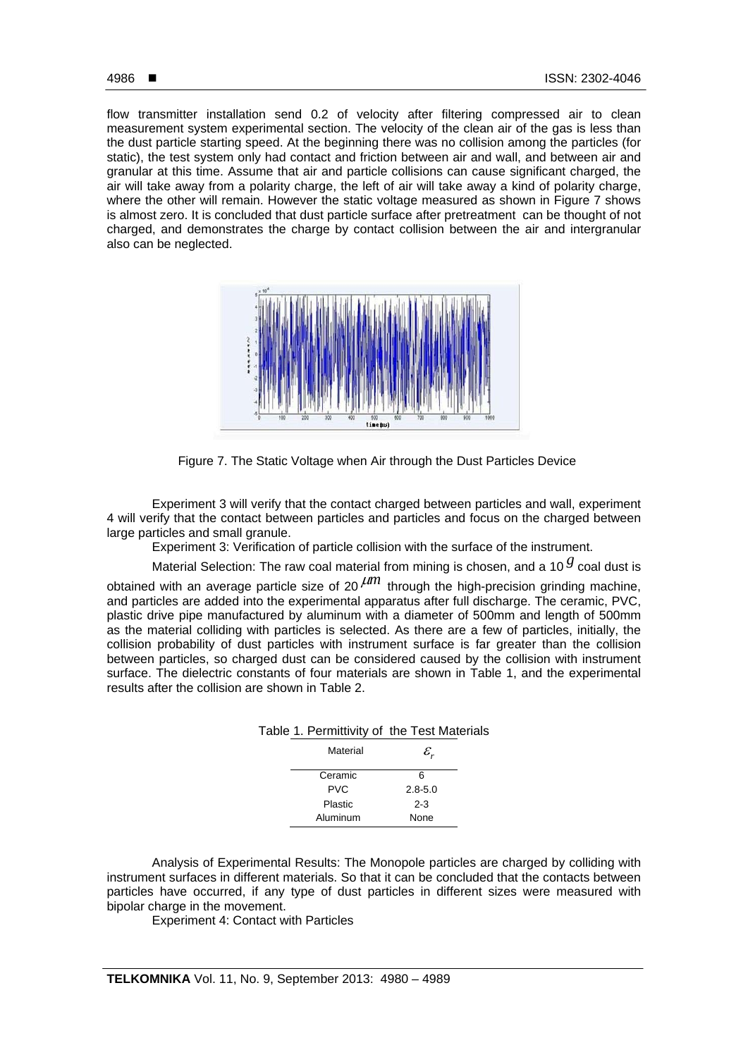flow transmitter installation send 0.2 of velocity after filtering compressed air to clean measurement system experimental section. The velocity of the clean air of the gas is less than the dust particle starting speed. At the beginning there was no collision among the particles (for static), the test system only had contact and friction between air and wall, and between air and granular at this time. Assume that air and particle collisions can cause significant charged, the air will take away from a polarity charge, the left of air will take away a kind of polarity charge, where the other will remain. However the static voltage measured as shown in Figure 7 shows is almost zero. It is concluded that dust particle surface after pretreatment can be thought of not charged, and demonstrates the charge by contact collision between the air and intergranular also can be neglected.



Figure 7. The Static Voltage when Air through the Dust Particles Device

Experiment 3 will verify that the contact charged between particles and wall, experiment 4 will verify that the contact between particles and particles and focus on the charged between large particles and small granule.

Experiment 3: Verification of particle collision with the surface of the instrument.

Material Selection: The raw coal material from mining is chosen, and a 10  $<sup>g</sup>$  coal dust is</sup>

obtained with an average particle size of 20  $\mu$ <sup>m</sup> through the high-precision grinding machine, and particles are added into the experimental apparatus after full discharge. The ceramic, PVC, plastic drive pipe manufactured by aluminum with a diameter of 500mm and length of 500mm as the material colliding with particles is selected. As there are a few of particles, initially, the collision probability of dust particles with instrument surface is far greater than the collision between particles, so charged dust can be considered caused by the collision with instrument surface. The dielectric constants of four materials are shown in Table 1, and the experimental results after the collision are shown in Table 2.

| Table 1. Permittivity of the Test Materials |                   |  |
|---------------------------------------------|-------------------|--|
| Material                                    | $\mathcal{E}_{r}$ |  |
| Ceramic                                     | ี                 |  |
| <b>PVC</b>                                  | $2.8 - 5.0$       |  |
| Plastic                                     | $2 - 3$           |  |
| Aluminum                                    | None              |  |

| Analysis of Experimental Results: The Monopole particles are charged by colliding with            |
|---------------------------------------------------------------------------------------------------|
| instrument surfaces in different materials. So that it can be concluded that the contacts between |
| particles have occurred, if any type of dust particles in different sizes were measured with      |
| bipolar charge in the movement.                                                                   |

Experiment 4: Contact with Particles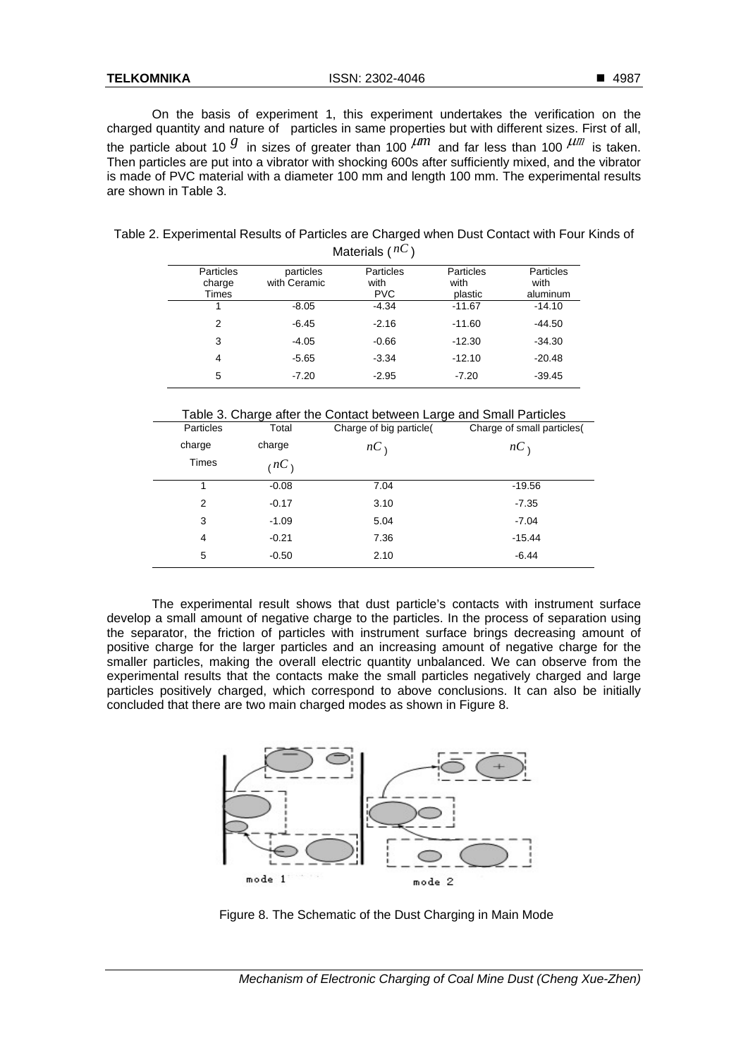On the basis of experiment 1, this experiment undertakes the verification on the charged quantity and nature of particles in same properties but with different sizes. First of all, the particle about 10  $^g$  in sizes of greater than 100  $\mu$ <sup>m</sup> and far less than 100  $\mu$ <sup>m</sup> is taken. Then particles are put into a vibrator with shocking 600s after sufficiently mixed, and the vibrator is made of PVC material with a diameter 100 mm and length 100 mm. The experimental results are shown in Table 3.

| Particles    | particles    | Particles  | Particles | Particles |
|--------------|--------------|------------|-----------|-----------|
| charge       | with Ceramic | with       | with      | with      |
| <b>Times</b> |              | <b>PVC</b> | plastic   | aluminum  |
|              | $-8.05$      | $-4.34$    | $-11.67$  | $-14.10$  |
| 2            | $-6.45$      | $-2.16$    | $-11.60$  | $-44.50$  |
| 3            | $-4.05$      | $-0.66$    | $-12.30$  | $-34.30$  |
| 4            | $-5.65$      | $-3.34$    | $-12.10$  | $-20.48$  |
| 5            | $-7.20$      | $-2.95$    | $-7.20$   | $-39.45$  |
|              |              |            |           |           |

Table 2. Experimental Results of Particles are Charged when Dust Contact with Four Kinds of Materials ( *nC* )

|  | Table 3. Charge after the Contact between Large and Small Particles |
|--|---------------------------------------------------------------------|
|  |                                                                     |

| Particles      | Total   | Charge of big particle( | Charge of small particles( |
|----------------|---------|-------------------------|----------------------------|
| charge         | charge  | $nC_1$                  | $nC_1$                     |
| Times          | $nC_1$  |                         |                            |
|                | $-0.08$ | 7.04                    | $-19.56$                   |
| $\overline{2}$ | $-0.17$ | 3.10                    | $-7.35$                    |
| 3              | $-1.09$ | 5.04                    | $-7.04$                    |
| 4              | $-0.21$ | 7.36                    | $-15.44$                   |
| 5              | $-0.50$ | 2.10                    | $-6.44$                    |

The experimental result shows that dust particle's contacts with instrument surface develop a small amount of negative charge to the particles. In the process of separation using the separator, the friction of particles with instrument surface brings decreasing amount of positive charge for the larger particles and an increasing amount of negative charge for the smaller particles, making the overall electric quantity unbalanced. We can observe from the experimental results that the contacts make the small particles negatively charged and large particles positively charged, which correspond to above conclusions. It can also be initially concluded that there are two main charged modes as shown in Figure 8.



Figure 8. The Schematic of the Dust Charging in Main Mode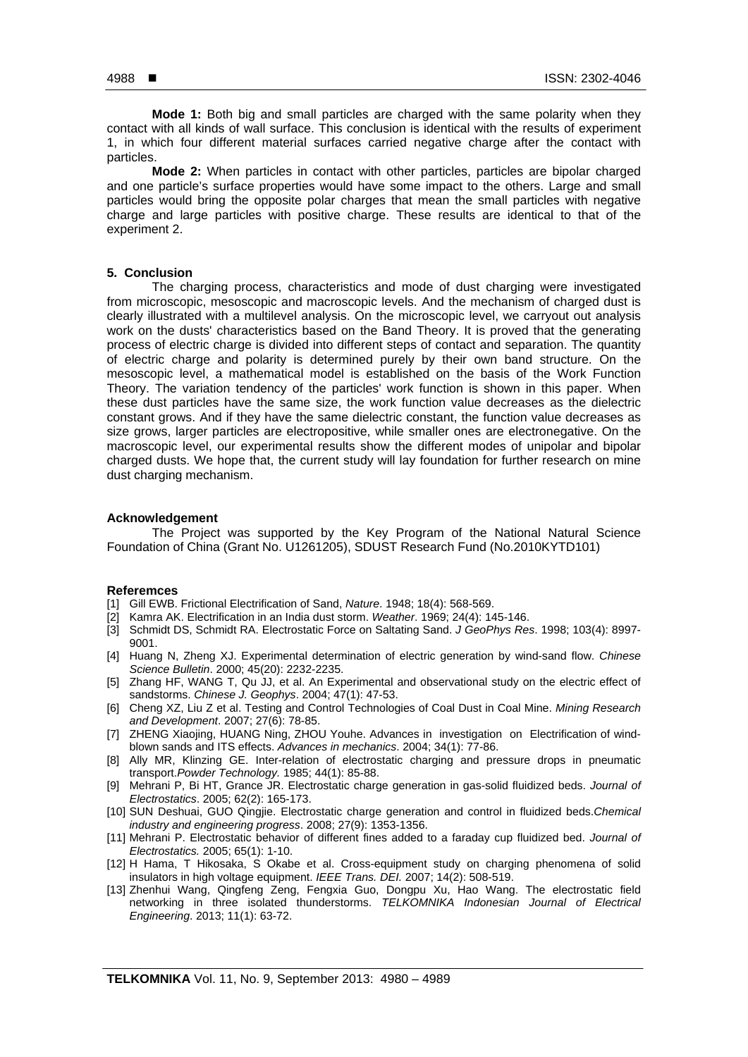**Mode 1:** Both big and small particles are charged with the same polarity when they contact with all kinds of wall surface. This conclusion is identical with the results of experiment 1, in which four different material surfaces carried negative charge after the contact with particles.

**Mode 2:** When particles in contact with other particles, particles are bipolar charged and one particle's surface properties would have some impact to the others. Large and small particles would bring the opposite polar charges that mean the small particles with negative charge and large particles with positive charge. These results are identical to that of the experiment 2.

## **5. Conclusion**

The charging process, characteristics and mode of dust charging were investigated from microscopic, mesoscopic and macroscopic levels. And the mechanism of charged dust is clearly illustrated with a multilevel analysis. On the microscopic level, we carryout out analysis work on the dusts' characteristics based on the Band Theory. It is proved that the generating process of electric charge is divided into different steps of contact and separation. The quantity of electric charge and polarity is determined purely by their own band structure. On the mesoscopic level, a mathematical model is established on the basis of the Work Function Theory. The variation tendency of the particles' work function is shown in this paper. When these dust particles have the same size, the work function value decreases as the dielectric constant grows. And if they have the same dielectric constant, the function value decreases as size grows, larger particles are electropositive, while smaller ones are electronegative. On the macroscopic level, our experimental results show the different modes of unipolar and bipolar charged dusts. We hope that, the current study will lay foundation for further research on mine dust charging mechanism.

### **Acknowledgement**

The Project was supported by the Key Program of the National Natural Science Foundation of China (Grant No. U1261205), SDUST Research Fund (No.2010KYTD101)

#### **Referemces**

- [1] Gill EWB. Frictional Electrification of Sand, *Nature*. 1948; 18(4): 568-569.
- [2] Kamra AK. Electrification in an India dust storm. *Weather*. 1969; 24(4): 145-146.
- [3] Schmidt DS, Schmidt RA. Electrostatic Force on Saltating Sand. *J GeoPhys Res*. 1998; 103(4): 8997- 9001.
- [4] Huang N, Zheng XJ. Experimental determination of electric generation by wind-sand flow. *Chinese Science Bulletin*. 2000; 45(20): 2232-2235.
- [5] Zhang HF, WANG T, Qu JJ, et al. An Experimental and observational study on the electric effect of sandstorms. *Chinese J. Geophys*. 2004; 47(1): 47-53.
- [6] Cheng XZ, Liu Z et al. Testing and Control Technologies of Coal Dust in Coal Mine. *Mining Research and Development*. 2007; 27(6): 78-85.
- [7] ZHENG Xiaojing, HUANG Ning, ZHOU Youhe. Advances in investigation on Electrification of windblown sands and ITS effects. *Advances in mechanics*. 2004; 34(1): 77-86.
- [8] Ally MR, Klinzing GE. Inter-relation of electrostatic charging and pressure drops in pneumatic transport.*Powder Technology.* 1985; 44(1): 85-88.
- [9] Mehrani P, Bi HT, Grance JR. Electrostatic charge generation in gas-solid fluidized beds. *Journal of Electrostatics*. 2005; 62(2): 165-173.
- [10] SUN Deshuai, GUO Qingjie. Electrostatic charge generation and control in fluidized beds.*Chemical industry and engineering progress*. 2008; 27(9): 1353-1356.
- [11] Mehrani P. Electrostatic behavior of different fines added to a faraday cup fluidized bed. *Journal of Electrostatics.* 2005; 65(1): 1-10.
- [12] H Hama, T Hikosaka, S Okabe et al. Cross-equipment study on charging phenomena of solid insulators in high voltage equipment. *IEEE Trans. DEI.* 2007; 14(2): 508-519.
- [13] Zhenhui Wang, Qingfeng Zeng, Fengxia Guo, Dongpu Xu, Hao Wang. The electrostatic field networking in three isolated thunderstorms. *TELKOMNIKA Indonesian Journal of Electrical Engineering*. 2013; 11(1): 63-72.